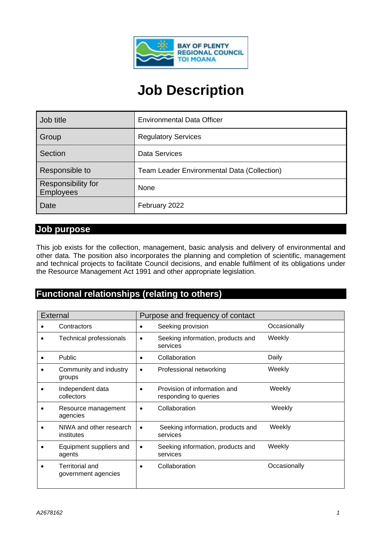

# **Job Description**

| Job title                              | <b>Environmental Data Officer</b>           |
|----------------------------------------|---------------------------------------------|
| Group                                  | <b>Regulatory Services</b>                  |
| Section                                | <b>Data Services</b>                        |
| Responsible to                         | Team Leader Environmental Data (Collection) |
| Responsibility for<br><b>Employees</b> | None                                        |
| Date                                   | February 2022                               |

#### **Job purpose**

This job exists for the collection, management, basic analysis and delivery of environmental and other data. The position also incorporates the planning and completion of scientific, management and technical projects to facilitate Council decisions, and enable fulfilment of its obligations under the Resource Management Act 1991 and other appropriate legislation.

## **Functional relationships (relating to others)**

| Purpose and frequency of contact<br><b>External</b> |                                               |           |                                                       |              |
|-----------------------------------------------------|-----------------------------------------------|-----------|-------------------------------------------------------|--------------|
|                                                     | Contractors                                   | ٠         | Seeking provision                                     | Occasionally |
| ٠                                                   | Technical professionals                       | $\bullet$ | Seeking information, products and<br>services         | Weekly       |
|                                                     | <b>Public</b>                                 | $\bullet$ | Collaboration                                         | Daily        |
|                                                     | Community and industry<br>groups              | $\bullet$ | Professional networking                               | Weekly       |
|                                                     | Independent data<br>collectors                | $\bullet$ | Provision of information and<br>responding to queries | Weekly       |
|                                                     | Resource management<br>agencies               | $\bullet$ | Collaboration                                         | Weekly       |
|                                                     | NIWA and other research<br>institutes         | ٠         | Seeking information, products and<br>services         | Weekly       |
|                                                     | Equipment suppliers and<br>agents             | $\bullet$ | Seeking information, products and<br>services         | Weekly       |
| $\bullet$                                           | <b>Territorial and</b><br>government agencies | $\bullet$ | Collaboration                                         | Occasionally |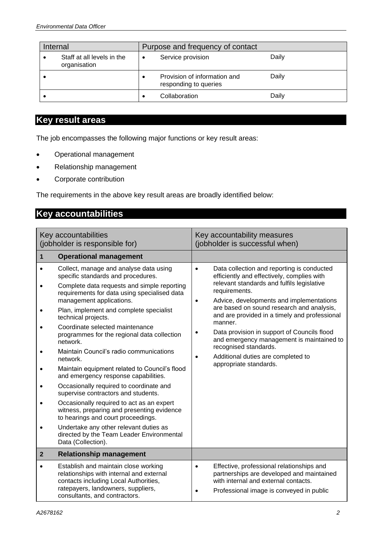| Internal                                   | Purpose and frequency of contact                      |       |
|--------------------------------------------|-------------------------------------------------------|-------|
| Staff at all levels in the<br>organisation | Service provision<br>٠                                | Daily |
|                                            | Provision of information and<br>responding to queries | Daily |
|                                            | Collaboration                                         | Daily |

## **Key result areas**

The job encompasses the following major functions or key result areas:

- Operational management
- Relationship management
- Corporate contribution

The requirements in the above key result areas are broadly identified below:

## **Key accountabilities**

| Key accountabilities<br>(jobholder is responsible for) |                                                                                                                                                                                                                                                                                                                                                                                                                                                                                                                                                                                                                                                                                                                                                                                                                                                         | Key accountability measures<br>(jobholder is successful when)                                                                                                                                                                                                                                                                                                                                                                                                                                                                                         |  |
|--------------------------------------------------------|---------------------------------------------------------------------------------------------------------------------------------------------------------------------------------------------------------------------------------------------------------------------------------------------------------------------------------------------------------------------------------------------------------------------------------------------------------------------------------------------------------------------------------------------------------------------------------------------------------------------------------------------------------------------------------------------------------------------------------------------------------------------------------------------------------------------------------------------------------|-------------------------------------------------------------------------------------------------------------------------------------------------------------------------------------------------------------------------------------------------------------------------------------------------------------------------------------------------------------------------------------------------------------------------------------------------------------------------------------------------------------------------------------------------------|--|
| 1                                                      | <b>Operational management</b>                                                                                                                                                                                                                                                                                                                                                                                                                                                                                                                                                                                                                                                                                                                                                                                                                           |                                                                                                                                                                                                                                                                                                                                                                                                                                                                                                                                                       |  |
|                                                        | Collect, manage and analyse data using<br>specific standards and procedures.<br>Complete data requests and simple reporting<br>requirements for data using specialised data<br>management applications.<br>Plan, implement and complete specialist<br>technical projects.<br>Coordinate selected maintenance<br>programmes for the regional data collection<br>network.<br>Maintain Council's radio communications<br>network.<br>Maintain equipment related to Council's flood<br>and emergency response capabilities.<br>Occasionally required to coordinate and<br>supervise contractors and students.<br>Occasionally required to act as an expert<br>witness, preparing and presenting evidence<br>to hearings and court proceedings.<br>Undertake any other relevant duties as<br>directed by the Team Leader Environmental<br>Data (Collection). | Data collection and reporting is conducted<br>$\bullet$<br>efficiently and effectively, complies with<br>relevant standards and fulfils legislative<br>requirements.<br>Advice, developments and implementations<br>$\bullet$<br>are based on sound research and analysis,<br>and are provided in a timely and professional<br>manner.<br>Data provision in support of Councils flood<br>$\bullet$<br>and emergency management is maintained to<br>recognised standards.<br>Additional duties are completed to<br>$\bullet$<br>appropriate standards. |  |
| $\overline{2}$                                         | <b>Relationship management</b>                                                                                                                                                                                                                                                                                                                                                                                                                                                                                                                                                                                                                                                                                                                                                                                                                          |                                                                                                                                                                                                                                                                                                                                                                                                                                                                                                                                                       |  |
| $\bullet$                                              | Establish and maintain close working<br>relationships with internal and external<br>contacts including Local Authorities,<br>ratepayers, landowners, suppliers,<br>consultants, and contractors.                                                                                                                                                                                                                                                                                                                                                                                                                                                                                                                                                                                                                                                        | Effective, professional relationships and<br>$\bullet$<br>partnerships are developed and maintained<br>with internal and external contacts.<br>Professional image is conveyed in public<br>٠                                                                                                                                                                                                                                                                                                                                                          |  |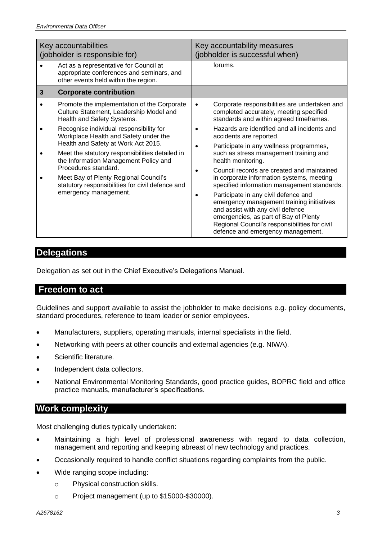| Key accountabilities<br>(jobholder is responsible for) |                                                                                                                                 | Key accountability measures<br>(jobholder is successful when)                                                                                                                                                                                         |  |
|--------------------------------------------------------|---------------------------------------------------------------------------------------------------------------------------------|-------------------------------------------------------------------------------------------------------------------------------------------------------------------------------------------------------------------------------------------------------|--|
|                                                        | Act as a representative for Council at<br>appropriate conferences and seminars, and<br>other events held within the region.     | forums.                                                                                                                                                                                                                                               |  |
| 3                                                      | <b>Corporate contribution</b>                                                                                                   |                                                                                                                                                                                                                                                       |  |
|                                                        | Promote the implementation of the Corporate<br>Culture Statement, Leadership Model and<br>Health and Safety Systems.            | Corporate responsibilities are undertaken and<br>$\bullet$<br>completed accurately, meeting specified<br>standards and within agreed timeframes.                                                                                                      |  |
|                                                        | Recognise individual responsibility for<br>Workplace Health and Safety under the                                                | Hazards are identified and all incidents and<br>accidents are reported.                                                                                                                                                                               |  |
|                                                        | Health and Safety at Work Act 2015.<br>Meet the statutory responsibilities detailed in<br>the Information Management Policy and | Participate in any wellness programmes,<br>such as stress management training and<br>health monitoring.                                                                                                                                               |  |
|                                                        | Procedures standard.<br>Meet Bay of Plenty Regional Council's<br>statutory responsibilities for civil defence and               | Council records are created and maintained<br>in corporate information systems, meeting<br>specified information management standards.                                                                                                                |  |
| emergency management.                                  |                                                                                                                                 | Participate in any civil defence and<br>emergency management training initiatives<br>and assist with any civil defence<br>emergencies, as part of Bay of Plenty<br>Regional Council's responsibilities for civil<br>defence and emergency management. |  |

#### **Delegations**

Delegation as set out in the Chief Executive's Delegations Manual.

#### **Freedom to act**

Guidelines and support available to assist the jobholder to make decisions e.g. policy documents, standard procedures, reference to team leader or senior employees.

- Manufacturers, suppliers, operating manuals, internal specialists in the field.
- Networking with peers at other councils and external agencies (e.g. NIWA).
- Scientific literature.
- Independent data collectors.
- National Environmental Monitoring Standards, good practice guides, BOPRC field and office practice manuals, manufacturer's specifications.

### **Work complexity**

Most challenging duties typically undertaken:

- Maintaining a high level of professional awareness with regard to data collection, management and reporting and keeping abreast of new technology and practices.
- Occasionally required to handle conflict situations regarding complaints from the public.
- Wide ranging scope including:
	- o Physical construction skills.
	- o Project management (up to \$15000-\$30000).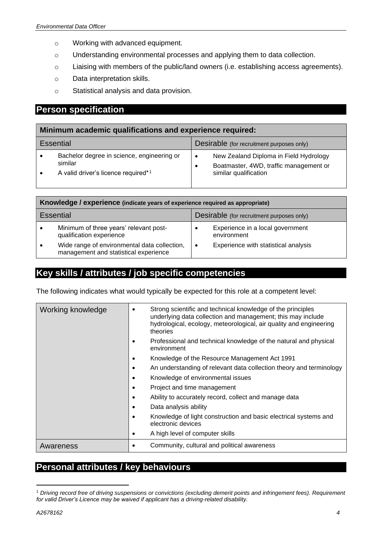- o Working with advanced equipment.
- o Understanding environmental processes and applying them to data collection.
- o Liaising with members of the public/land owners (i.e. establishing access agreements).
- o Data interpretation skills.
- o Statistical analysis and data provision.

## **Person specification**

| Minimum academic qualifications and experience required:      |                                                                                              |                                                                                                                                     |  |
|---------------------------------------------------------------|----------------------------------------------------------------------------------------------|-------------------------------------------------------------------------------------------------------------------------------------|--|
| <b>Essential</b><br>Desirable (for recruitment purposes only) |                                                                                              |                                                                                                                                     |  |
|                                                               | Bachelor degree in science, engineering or<br>similar<br>A valid driver's licence required*1 | New Zealand Diploma in Field Hydrology<br>$\bullet$<br>Boatmaster, 4WD, traffic management or<br>$\bullet$<br>similar qualification |  |

| Knowledge / experience (indicate years of experience required as appropriate) |                                                                                       |                                           |                                                 |
|-------------------------------------------------------------------------------|---------------------------------------------------------------------------------------|-------------------------------------------|-------------------------------------------------|
|                                                                               | <b>Essential</b>                                                                      | Desirable (for recruitment purposes only) |                                                 |
| $\bullet$                                                                     | Minimum of three years' relevant post-<br>qualification experience                    | $\bullet$                                 | Experience in a local government<br>environment |
|                                                                               | Wide range of environmental data collection,<br>management and statistical experience | $\bullet$                                 | Experience with statistical analysis            |

## **Key skills / attributes / job specific competencies**

The following indicates what would typically be expected for this role at a competent level:

| Working knowledge | Strong scientific and technical knowledge of the principles<br>$\bullet$<br>underlying data collection and management; this may include<br>hydrological, ecology, meteorological, air quality and engineering<br>theories |  |
|-------------------|---------------------------------------------------------------------------------------------------------------------------------------------------------------------------------------------------------------------------|--|
|                   | Professional and technical knowledge of the natural and physical<br>٠<br>environment                                                                                                                                      |  |
|                   | Knowledge of the Resource Management Act 1991<br>٠                                                                                                                                                                        |  |
|                   | An understanding of relevant data collection theory and terminology<br>٠                                                                                                                                                  |  |
|                   | Knowledge of environmental issues<br>٠                                                                                                                                                                                    |  |
|                   | Project and time management<br>٠                                                                                                                                                                                          |  |
|                   | Ability to accurately record, collect and manage data<br>٠                                                                                                                                                                |  |
|                   | Data analysis ability<br>٠                                                                                                                                                                                                |  |
|                   | Knowledge of light construction and basic electrical systems and<br>٠<br>electronic devices                                                                                                                               |  |
|                   | A high level of computer skills<br>٠                                                                                                                                                                                      |  |
| Awareness         | Community, cultural and political awareness                                                                                                                                                                               |  |

## **Personal attributes / key behaviours**

<sup>1</sup> *Driving record free of driving suspensions or convictions (excluding demerit points and infringement fees). Requirement for valid Driver's Licence may be waived if applicant has a driving-related disability.*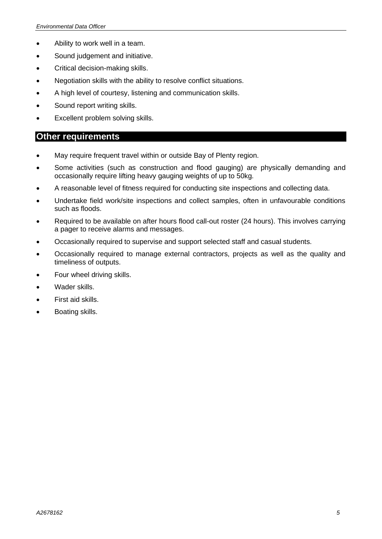- Ability to work well in a team.
- Sound judgement and initiative.
- Critical decision-making skills.
- Negotiation skills with the ability to resolve conflict situations.
- A high level of courtesy, listening and communication skills.
- Sound report writing skills.
- Excellent problem solving skills.

#### **Other requirements**

- May require frequent travel within or outside Bay of Plenty region.
- Some activities (such as construction and flood gauging) are physically demanding and occasionally require lifting heavy gauging weights of up to 50kg.
- A reasonable level of fitness required for conducting site inspections and collecting data.
- Undertake field work/site inspections and collect samples, often in unfavourable conditions such as floods.
- Required to be available on after hours flood call-out roster (24 hours). This involves carrying a pager to receive alarms and messages.
- Occasionally required to supervise and support selected staff and casual students.
- Occasionally required to manage external contractors, projects as well as the quality and timeliness of outputs.
- Four wheel driving skills.
- Wader skills.
- First aid skills.
- Boating skills.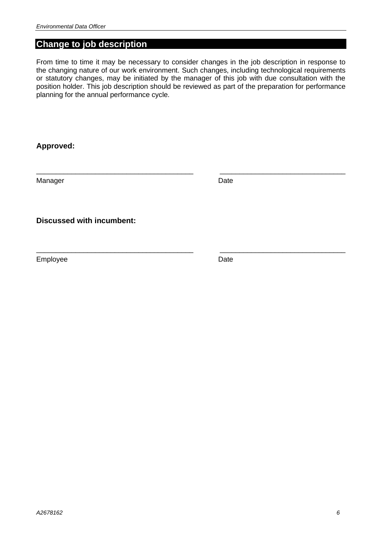#### **Change to job description**

From time to time it may be necessary to consider changes in the job description in response to the changing nature of our work environment. Such changes, including technological requirements or statutory changes, may be initiated by the manager of this job with due consultation with the position holder. This job description should be reviewed as part of the preparation for performance planning for the annual performance cycle.

\_\_\_\_\_\_\_\_\_\_\_\_\_\_\_\_\_\_\_\_\_\_\_\_\_\_\_\_\_\_\_\_\_\_\_\_\_\_\_\_ \_\_\_\_\_\_\_\_\_\_\_\_\_\_\_\_\_\_\_\_\_\_\_\_\_\_\_\_\_\_\_\_

\_\_\_\_\_\_\_\_\_\_\_\_\_\_\_\_\_\_\_\_\_\_\_\_\_\_\_\_\_\_\_\_\_\_\_\_\_\_\_\_ \_\_\_\_\_\_\_\_\_\_\_\_\_\_\_\_\_\_\_\_\_\_\_\_\_\_\_\_\_\_\_\_

**Approved:**

Manager Date **Date** 

**Discussed with incumbent:**

Employee Date